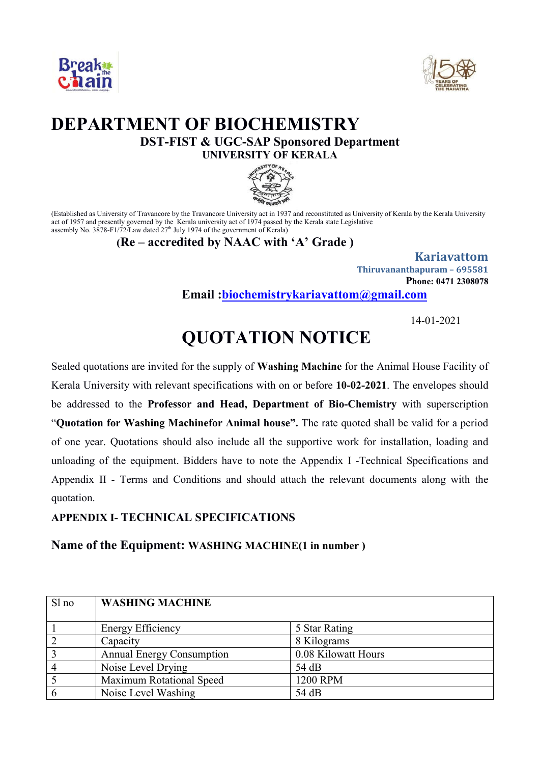



## **DEPARTMENT OF BIOCHEMISTRY DST-FIST & UGC-SAP Sponsored Department UNIVERSITY OF KERALA**



(Established as University of Travancore by the Travancore University act in 1937 and reconstituted as University of Kerala by the Kerala University act of 1957 and presently governed by the Kerala university act of 1974 passed by the Kerala state Legislative assembly No. 3878-F1/72/Law dated  $27<sup>th</sup>$  July 1974 of the government of Kerala)

#### **(Re – accredited by NAAC with 'A' Grade )**

**Kariavattom Thiruvananthapuram – 695581 Phone: 0471 2308078 Email :biochemistrykariavattom@gmail.com**

14-01-2021

# **QUOTATION NOTICE**

Sealed quotations are invited for the supply of **Washing Machine** for the Animal House Facility of Kerala University with relevant specifications with on or before **10-02-2021**. The envelopes should be addressed to the **Professor and Head, Department of Bio-Chemistry** with superscription "**Quotation for Washing Machinefor Animal house".** The rate quoted shall be valid for a period of one year. Quotations should also include all the supportive work for installation, loading and unloading of the equipment. Bidders have to note the Appendix I -Technical Specifications and Appendix II - Terms and Conditions and should attach the relevant documents along with the quotation.

### **APPENDIX I- TECHNICAL SPECIFICATIONS**

**Name of the Equipment: WASHING MACHINE(1 in number )**

| Sl no          | <b>WASHING MACHINE</b>           |                     |
|----------------|----------------------------------|---------------------|
|                | <b>Energy Efficiency</b>         | 5 Star Rating       |
| $\overline{2}$ | Capacity                         | 8 Kilograms         |
| $\overline{3}$ | <b>Annual Energy Consumption</b> | 0.08 Kilowatt Hours |
|                | Noise Level Drying               | 54 dB               |
|                | Maximum Rotational Speed         | 1200 RPM            |
|                | Noise Level Washing              | 54 dB               |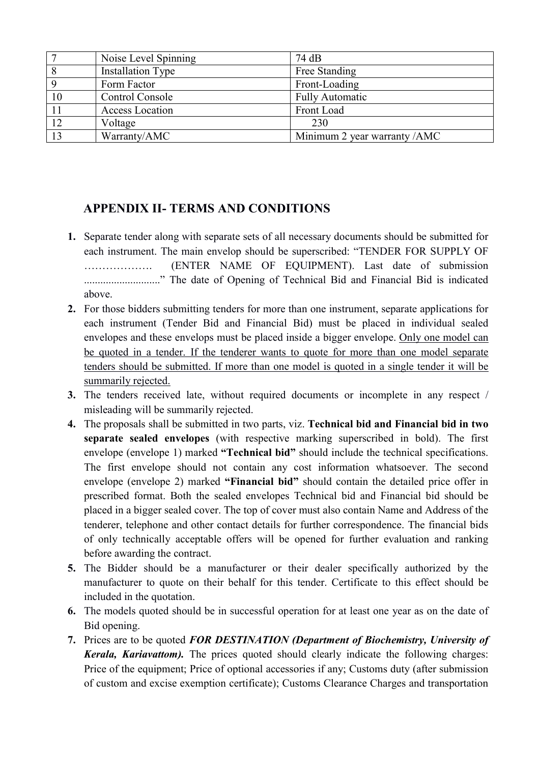|    | Noise Level Spinning     | 74 dB                        |
|----|--------------------------|------------------------------|
|    | <b>Installation Type</b> | Free Standing                |
|    | Form Factor              | Front-Loading                |
| 10 | Control Console          | <b>Fully Automatic</b>       |
|    | Access Location          | Front Load                   |
| 12 | Voltage                  | 230                          |
| 13 | Warranty/AMC             | Minimum 2 year warranty /AMC |

### **APPENDIX II- TERMS AND CONDITIONS**

- **1.** Separate tender along with separate sets of all necessary documents should be submitted for each instrument. The main envelop should be superscribed: "TENDER FOR SUPPLY OF ………………. (ENTER NAME OF EQUIPMENT). Last date of submission ............................" The date of Opening of Technical Bid and Financial Bid is indicated above.
- **2.** For those bidders submitting tenders for more than one instrument, separate applications for each instrument (Tender Bid and Financial Bid) must be placed in individual sealed envelopes and these envelops must be placed inside a bigger envelope. Only one model can be quoted in a tender. If the tenderer wants to quote for more than one model separate tenders should be submitted. If more than one model is quoted in a single tender it will be summarily rejected.
- **3.** The tenders received late, without required documents or incomplete in any respect / misleading will be summarily rejected.
- **4.** The proposals shall be submitted in two parts, viz. **Technical bid and Financial bid in two separate sealed envelopes** (with respective marking superscribed in bold). The first envelope (envelope 1) marked **"Technical bid"** should include the technical specifications. The first envelope should not contain any cost information whatsoever. The second envelope (envelope 2) marked **"Financial bid"** should contain the detailed price offer in prescribed format. Both the sealed envelopes Technical bid and Financial bid should be placed in a bigger sealed cover. The top of cover must also contain Name and Address of the tenderer, telephone and other contact details for further correspondence. The financial bids of only technically acceptable offers will be opened for further evaluation and ranking before awarding the contract.
- **5.** The Bidder should be a manufacturer or their dealer specifically authorized by the manufacturer to quote on their behalf for this tender. Certificate to this effect should be included in the quotation.
- **6.** The models quoted should be in successful operation for at least one year as on the date of Bid opening.
- **7.** Prices are to be quoted *FOR DESTINATION (Department of Biochemistry, University of Kerala, Kariavattom).* The prices quoted should clearly indicate the following charges: Price of the equipment; Price of optional accessories if any; Customs duty (after submission of custom and excise exemption certificate); Customs Clearance Charges and transportation